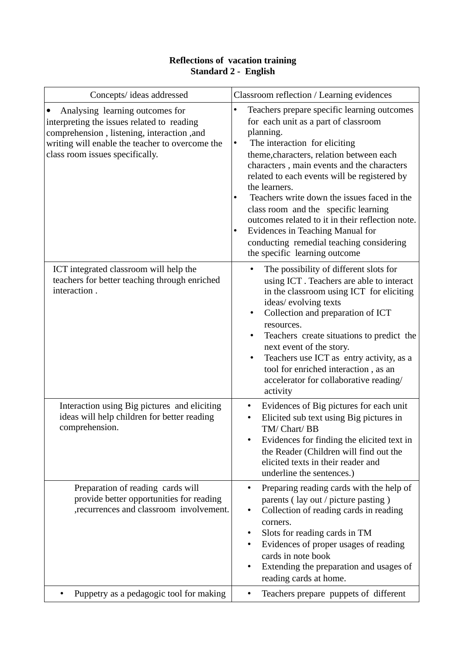## **Reflections of vacation training Standard 2 - English**

| Concepts/ ideas addressed                                                                                                                                                                                         | Classroom reflection / Learning evidences                                                                                                                                                                                                                                                                                                                                                                                                                                                                                                                                       |
|-------------------------------------------------------------------------------------------------------------------------------------------------------------------------------------------------------------------|---------------------------------------------------------------------------------------------------------------------------------------------------------------------------------------------------------------------------------------------------------------------------------------------------------------------------------------------------------------------------------------------------------------------------------------------------------------------------------------------------------------------------------------------------------------------------------|
| Analysing learning outcomes for<br>interpreting the issues related to reading<br>comprehension, listening, interaction, and<br>writing will enable the teacher to overcome the<br>class room issues specifically. | Teachers prepare specific learning outcomes<br>٠<br>for each unit as a part of classroom<br>planning.<br>The interaction for eliciting<br>$\bullet$<br>theme, characters, relation between each<br>characters, main events and the characters<br>related to each events will be registered by<br>the learners.<br>Teachers write down the issues faced in the<br>class room and the specific learning<br>outcomes related to it in their reflection note.<br>Evidences in Teaching Manual for<br>٠<br>conducting remedial teaching considering<br>the specific learning outcome |
| ICT integrated classroom will help the<br>teachers for better teaching through enriched<br>interaction.                                                                                                           | The possibility of different slots for<br>٠<br>using ICT. Teachers are able to interact<br>in the classroom using ICT for eliciting<br>ideas/ evolving texts<br>Collection and preparation of ICT<br>$\bullet$<br>resources.<br>Teachers create situations to predict the<br>next event of the story.<br>Teachers use ICT as entry activity, as a<br>tool for enriched interaction, as an<br>accelerator for collaborative reading/<br>activity                                                                                                                                 |
| Interaction using Big pictures and eliciting<br>ideas will help children for better reading<br>comprehension.                                                                                                     | Evidences of Big pictures for each unit<br>$\bullet$<br>Elicited sub text using Big pictures in<br>TM/Chart/BB<br>Evidences for finding the elicited text in<br>the Reader (Children will find out the<br>elicited texts in their reader and<br>underline the sentences.)                                                                                                                                                                                                                                                                                                       |
| Preparation of reading cards will<br>provide better opportunities for reading<br>, recurrences and classroom involvement.                                                                                         | Preparing reading cards with the help of<br>parents (lay out / picture pasting)<br>Collection of reading cards in reading<br>corners.<br>Slots for reading cards in TM<br>Evidences of proper usages of reading<br>cards in note book<br>Extending the preparation and usages of<br>reading cards at home.                                                                                                                                                                                                                                                                      |
| Puppetry as a pedagogic tool for making                                                                                                                                                                           | Teachers prepare puppets of different                                                                                                                                                                                                                                                                                                                                                                                                                                                                                                                                           |